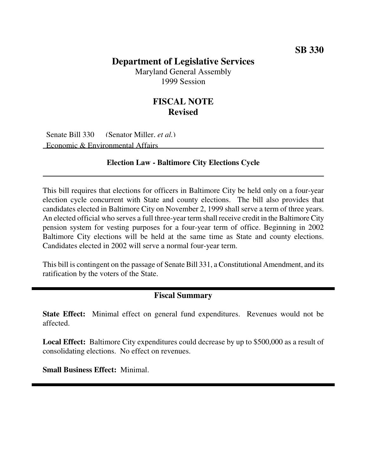# **Department of Legislative Services**

Maryland General Assembly 1999 Session

# **FISCAL NOTE Revised**

Senate Bill 330 (Senator Miller, *et al.*) Economic & Environmental Affairs

#### **Election Law - Baltimore City Elections Cycle**

This bill requires that elections for officers in Baltimore City be held only on a four-year election cycle concurrent with State and county elections. The bill also provides that candidates elected in Baltimore City on November 2, 1999 shall serve a term of three years. An elected official who serves a full three-year term shall receive credit in the Baltimore City pension system for vesting purposes for a four-year term of office. Beginning in 2002 Baltimore City elections will be held at the same time as State and county elections. Candidates elected in 2002 will serve a normal four-year term.

This bill is contingent on the passage of Senate Bill 331, a Constitutional Amendment, and its ratification by the voters of the State.

### **Fiscal Summary**

**State Effect:** Minimal effect on general fund expenditures. Revenues would not be affected.

**Local Effect:** Baltimore City expenditures could decrease by up to \$500,000 as a result of consolidating elections. No effect on revenues.

**Small Business Effect:** Minimal.